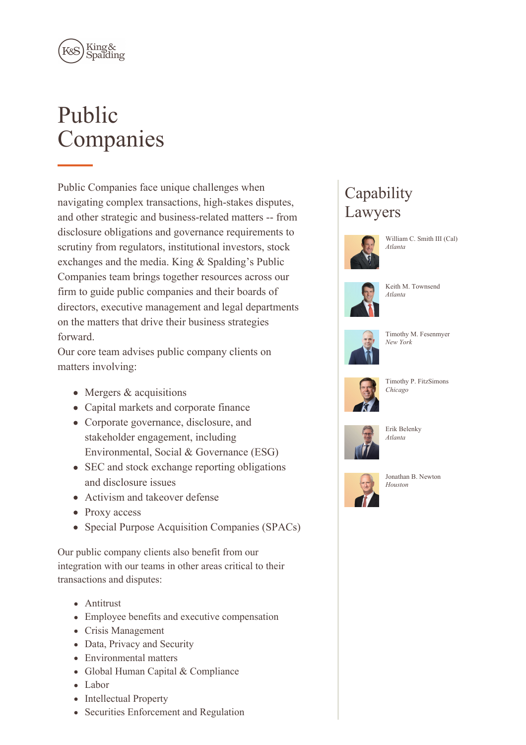

# Public Companies

Public Companies face unique challenges when navigating complex transactions, high-stakes disputes, and other strategic and business-related matters -- from disclosure obligations and governance requirements to scrutiny from regulators, institutional investors, stock exchanges and the media. King & Spalding's Public Companies team brings together resources across our firm to guide public companies and their boards of directors, executive management and legal departments on the matters that drive their business strategies forward.

Our core team advises public company clients on matters involving:

- Mergers & acquisitions
- Capital markets and corporate finance
- Corporate governance, disclosure, and stakeholder engagement, including Environmental, Social & Governance (ESG)
- SEC and stock exchange reporting obligations and disclosure issues
- Activism and takeover defense
- Proxy access
- Special Purpose Acquisition Companies (SPACs)

Our public company clients also benefit from our integration with our teams in other areas critical to their transactions and disputes:

- Antitrust
- Employee benefits and executive compensation
- Crisis Management
- Data, Privacy and Security
- Environmental matters
- Global Human Capital & Compliance
- Labor
- Intellectual Property
- Securities Enforcement and Regulation

# **Capability** Lawyers



William C. Smith III (Cal) *Atlanta*







Timothy M. Fesenmyer *New York*



Timothy P. FitzSimons *Chicago*



Erik Belenky *Atlanta*



Jonathan B. Newton *Houston*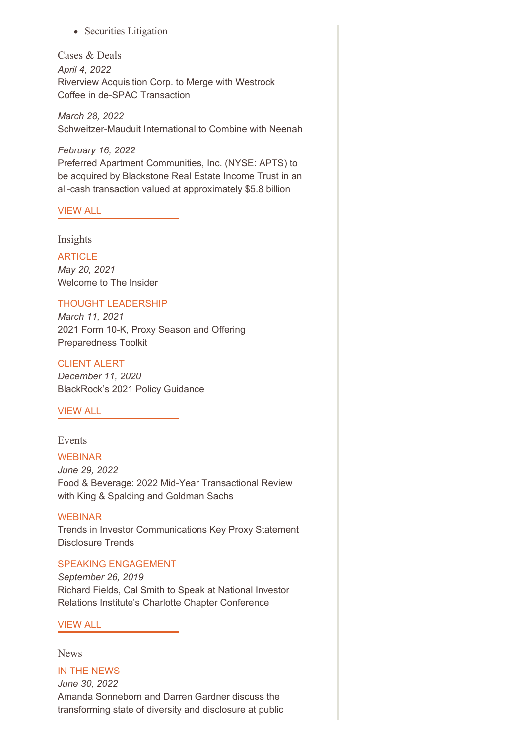• Securities Litigation

Cases & Deals *April 4, 2022* Riverview Acquisition Corp. to Merge with Westrock Coffee in de-SPAC Transaction

*March 28, 2022* Schweitzer-Mauduit International to Combine with Neenah

*February 16, 2022* Preferred Apartment Communities, Inc. (NYSE: APTS) to be acquired by Blackstone Real Estate Income Trust in an all-cash transaction valued at approximately \$5.8 billion

# [VIEW](https://www.kslaw.com/news-and-insights?capability_id=126&locale=en&post_category_id=1&post_type=0) ALL

Insights

#### **ARTICLE**

*May 20, 2021* Welcome to The Insider

### THOUGHT LEADERSHIP

*March 11, 2021* 2021 Form 10-K, Proxy Season and Offering Preparedness Toolkit

#### CLIENT ALERT

*December 11, 2020* BlackRock's 2021 Policy Guidance

#### [VIEW](https://www.kslaw.com/news-and-insights?capability_id=126&locale=en&post_type=2) ALL

#### Events

#### WEBINAR

*June 29, 2022* Food & Beverage: 2022 Mid-Year Transactional Review with King & Spalding and Goldman Sachs

#### WEBINAR

Trends in Investor Communications Key Proxy Statement Disclosure Trends

#### SPEAKING ENGAGEMENT

*September 26, 2019* Richard Fields, Cal Smith to Speak at National Investor Relations Institute's Charlotte Chapter Conference

## [VIEW](https://www.kslaw.com/news-and-insights?capability_id=126&locale=en&post_type=1) ALL

#### News

IN THE NEWS *June 30, 2022* Amanda Sonneborn and Darren Gardner discuss the transforming state of diversity and disclosure at public